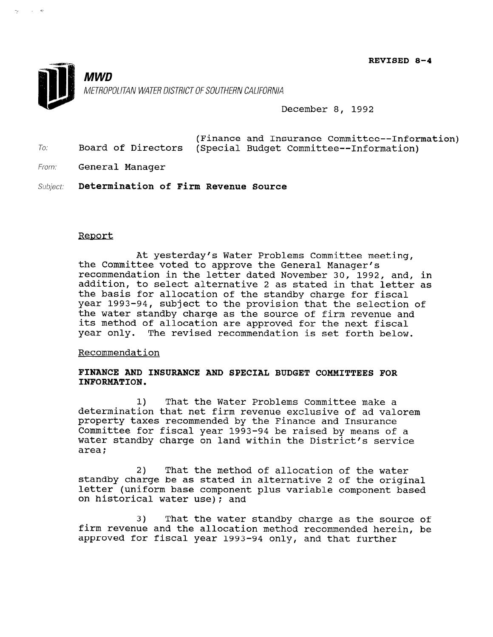REVISED 8-4



December 8, 1992

- (Finance and Insurance Committee--Information) To: Board of Directors (Special Budget Committee--Information)
- From: **General Manager**

Subject: Determination of Firm Revenue Source

## Report

At yesterday's Water Problems Committee meeting, the Committee voted to approve the General Manager's recommendation in the letter dated November 30, 1992, and, in addition, to select alternative 2 as stated in that letter as the basis for allocation of the standby charge for fiscal year 1993-94, subject to the provision that the selection of the water standby charge as the source of firm revenue and its method of allocation are approved for the next fiscal year only. The revised recommendation is set forth below.

Recommendation

## FINANCE AND INSURANCE AND SPECIAL BUDGET COMMITTEES FOR INFORMATION.

1) That the Water Problems Committee make a determination that net firm revenue exclusive of ad valorem property taxes recommended by the Finance and Insurance Committee for fiscal year 1993-94 be raised by means of a water standby charge on land within the Distriction for a wace<br>cree

2) That the method of allocation of the water z) finat the method of allocation of the water standby charge be as stated in alternative 2 of the original<br>letter (uniformal letter (uniform base component plus variable component based on historical water use); and

3) That the water standby charge as the source of s) Inat the water standby charge as the source of firm revenue and the allocation method recommended herein, be approved for fiscal year 1993-94 only, and that further